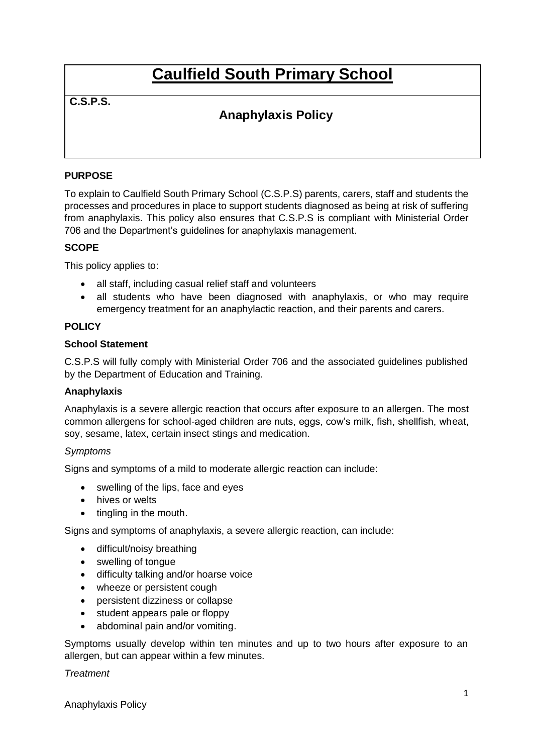# **Caulfield South Primary School**

# **C.S.P.S.**

# **Anaphylaxis Policy**

# **PURPOSE**

To explain to Caulfield South Primary School (C.S.P.S) parents, carers, staff and students the processes and procedures in place to support students diagnosed as being at risk of suffering from anaphylaxis. This policy also ensures that C.S.P.S is compliant with Ministerial Order 706 and the Department's guidelines for anaphylaxis management.

## **SCOPE**

This policy applies to:

- all staff, including casual relief staff and volunteers
- all students who have been diagnosed with anaphylaxis, or who may require emergency treatment for an anaphylactic reaction, and their parents and carers.

## **POLICY**

#### **School Statement**

C.S.P.S will fully comply with Ministerial Order 706 and the associated guidelines published by the Department of Education and Training.

#### **Anaphylaxis**

Anaphylaxis is a severe allergic reaction that occurs after exposure to an allergen. The most common allergens for school-aged children are nuts, eggs, cow's milk, fish, shellfish, wheat, soy, sesame, latex, certain insect stings and medication.

#### *Symptoms*

Signs and symptoms of a mild to moderate allergic reaction can include:

- swelling of the lips, face and eyes
- hives or welts
- tingling in the mouth.

Signs and symptoms of anaphylaxis, a severe allergic reaction, can include:

- difficult/noisy breathing
- swelling of tongue
- difficulty talking and/or hoarse voice
- wheeze or persistent cough
- persistent dizziness or collapse
- student appears pale or floppy
- abdominal pain and/or vomiting.

Symptoms usually develop within ten minutes and up to two hours after exposure to an allergen, but can appear within a few minutes.

#### *Treatment*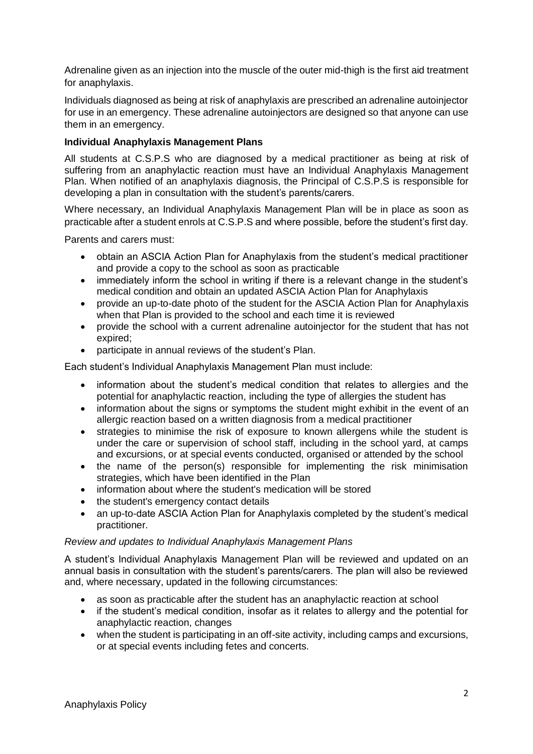Adrenaline given as an injection into the muscle of the outer mid-thigh is the first aid treatment for anaphylaxis.

Individuals diagnosed as being at risk of anaphylaxis are prescribed an adrenaline autoinjector for use in an emergency. These adrenaline autoinjectors are designed so that anyone can use them in an emergency.

#### **Individual Anaphylaxis Management Plans**

All students at C.S.P.S who are diagnosed by a medical practitioner as being at risk of suffering from an anaphylactic reaction must have an Individual Anaphylaxis Management Plan. When notified of an anaphylaxis diagnosis, the Principal of C.S.P.S is responsible for developing a plan in consultation with the student's parents/carers.

Where necessary, an Individual Anaphylaxis Management Plan will be in place as soon as practicable after a student enrols at C.S.P.S and where possible, before the student's first day.

Parents and carers must:

- obtain an ASCIA Action Plan for Anaphylaxis from the student's medical practitioner and provide a copy to the school as soon as practicable
- immediately inform the school in writing if there is a relevant change in the student's medical condition and obtain an updated ASCIA Action Plan for Anaphylaxis
- provide an up-to-date photo of the student for the ASCIA Action Plan for Anaphylaxis when that Plan is provided to the school and each time it is reviewed
- provide the school with a current adrenaline autoinjector for the student that has not expired;
- participate in annual reviews of the student's Plan.

Each student's Individual Anaphylaxis Management Plan must include:

- information about the student's medical condition that relates to allergies and the potential for anaphylactic reaction, including the type of allergies the student has
- information about the signs or symptoms the student might exhibit in the event of an allergic reaction based on a written diagnosis from a medical practitioner
- strategies to minimise the risk of exposure to known allergens while the student is under the care or supervision of school staff, including in the school yard, at camps and excursions, or at special events conducted, organised or attended by the school
- the name of the person(s) responsible for implementing the risk minimisation strategies, which have been identified in the Plan
- information about where the student's medication will be stored
- the student's emergency contact details
- an up-to-date ASCIA Action Plan for Anaphylaxis completed by the student's medical practitioner.

#### *Review and updates to Individual Anaphylaxis Management Plans*

A student's Individual Anaphylaxis Management Plan will be reviewed and updated on an annual basis in consultation with the student's parents/carers. The plan will also be reviewed and, where necessary, updated in the following circumstances:

- as soon as practicable after the student has an anaphylactic reaction at school
- if the student's medical condition, insofar as it relates to allergy and the potential for anaphylactic reaction, changes
- when the student is participating in an off-site activity, including camps and excursions, or at special events including fetes and concerts.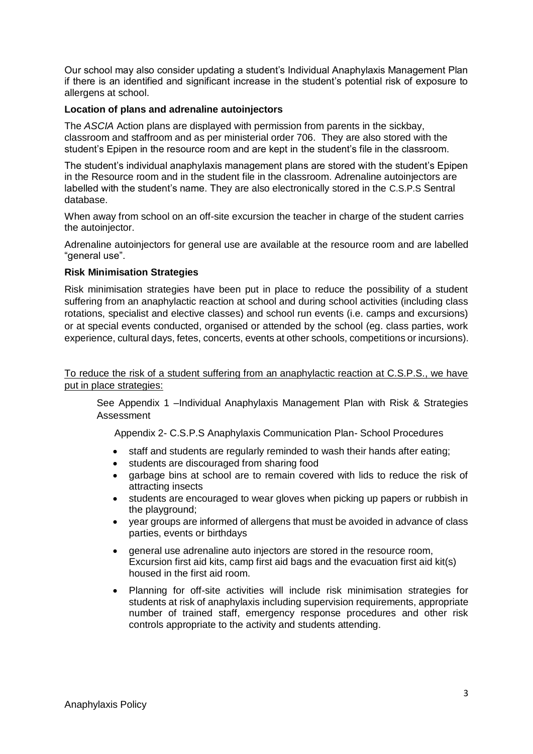Our school may also consider updating a student's Individual Anaphylaxis Management Plan if there is an identified and significant increase in the student's potential risk of exposure to allergens at school.

#### **Location of plans and adrenaline autoinjectors**

The *ASCIA* Action plans are displayed with permission from parents in the sickbay, classroom and staffroom and as per ministerial order 706. They are also stored with the student's Epipen in the resource room and are kept in the student's file in the classroom.

The student's individual anaphylaxis management plans are stored with the student's Epipen in the Resource room and in the student file in the classroom. Adrenaline autoinjectors are labelled with the student's name. They are also electronically stored in the C.S.P.S Sentral database.

When away from school on an off-site excursion the teacher in charge of the student carries the autoinjector.

Adrenaline autoinjectors for general use are available at the resource room and are labelled "general use".

#### **Risk Minimisation Strategies**

Risk minimisation strategies have been put in place to reduce the possibility of a student suffering from an anaphylactic reaction at school and during school activities (including class rotations, specialist and elective classes) and school run events (i.e. camps and excursions) or at special events conducted, organised or attended by the school (eg. class parties, work experience, cultural days, fetes, concerts, events at other schools, competitions or incursions).

To reduce the risk of a student suffering from an anaphylactic reaction at C.S.P.S., we have put in place strategies:

See Appendix 1 –Individual Anaphylaxis Management Plan with Risk & Strategies Assessment

Appendix 2- C.S.P.S Anaphylaxis Communication Plan- School Procedures

- staff and students are regularly reminded to wash their hands after eating;
- students are discouraged from sharing food
- garbage bins at school are to remain covered with lids to reduce the risk of attracting insects
- students are encouraged to wear gloves when picking up papers or rubbish in the playground;
- year groups are informed of allergens that must be avoided in advance of class parties, events or birthdays
- general use adrenaline auto injectors are stored in the resource room, Excursion first aid kits, camp first aid bags and the evacuation first aid kit(s) housed in the first aid room.
- Planning for off-site activities will include risk minimisation strategies for students at risk of anaphylaxis including supervision requirements, appropriate number of trained staff, emergency response procedures and other risk controls appropriate to the activity and students attending.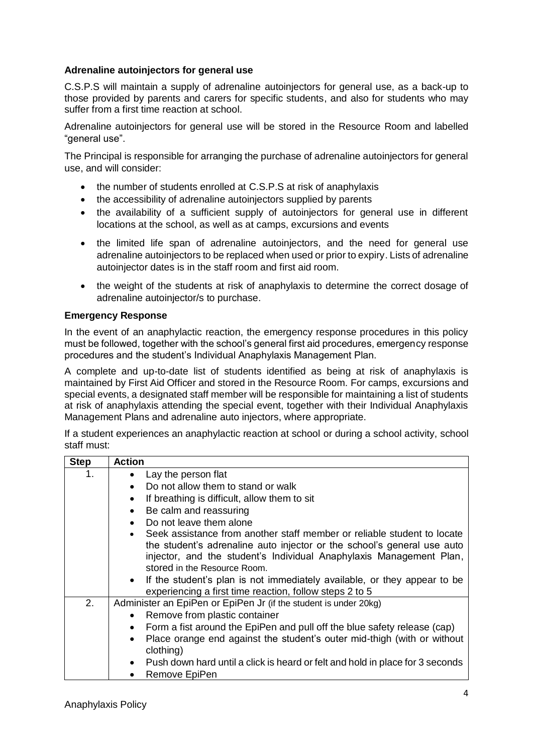#### **Adrenaline autoinjectors for general use**

C.S.P.S will maintain a supply of adrenaline autoinjectors for general use, as a back-up to those provided by parents and carers for specific students, and also for students who may suffer from a first time reaction at school.

Adrenaline autoinjectors for general use will be stored in the Resource Room and labelled "general use".

The Principal is responsible for arranging the purchase of adrenaline autoinjectors for general use, and will consider:

- the number of students enrolled at C.S.P.S at risk of anaphylaxis
- the accessibility of adrenaline autoinjectors supplied by parents
- the availability of a sufficient supply of autoiniectors for general use in different locations at the school, as well as at camps, excursions and events
- the limited life span of adrenaline autoinjectors, and the need for general use adrenaline autoinjectors to be replaced when used or prior to expiry. Lists of adrenaline autoinjector dates is in the staff room and first aid room.
- the weight of the students at risk of anaphylaxis to determine the correct dosage of adrenaline autoinjector/s to purchase.

#### **Emergency Response**

In the event of an anaphylactic reaction, the emergency response procedures in this policy must be followed, together with the school's general first aid procedures, emergency response procedures and the student's Individual Anaphylaxis Management Plan.

A complete and up-to-date list of students identified as being at risk of anaphylaxis is maintained by First Aid Officer and stored in the Resource Room. For camps, excursions and special events, a designated staff member will be responsible for maintaining a list of students at risk of anaphylaxis attending the special event, together with their Individual Anaphylaxis Management Plans and adrenaline auto injectors, where appropriate.

If a student experiences an anaphylactic reaction at school or during a school activity, school staff must:

| <b>Step</b> | <b>Action</b>                                                                                                                                                   |
|-------------|-----------------------------------------------------------------------------------------------------------------------------------------------------------------|
| 1.          | Lay the person flat<br>$\bullet$                                                                                                                                |
|             | Do not allow them to stand or walk<br>$\bullet$                                                                                                                 |
|             | If breathing is difficult, allow them to sit<br>٠                                                                                                               |
|             | Be calm and reassuring<br>$\bullet$                                                                                                                             |
|             | Do not leave them alone<br>$\bullet$                                                                                                                            |
|             | Seek assistance from another staff member or reliable student to locate<br>$\bullet$<br>the student's adrenaline auto injector or the school's general use auto |
|             | injector, and the student's Individual Anaphylaxis Management Plan,<br>stored in the Resource Room.                                                             |
|             | • If the student's plan is not immediately available, or they appear to be<br>experiencing a first time reaction, follow steps 2 to 5                           |
| 2.          | Administer an EpiPen or EpiPen Jr (if the student is under 20kg)                                                                                                |
|             | Remove from plastic container<br>$\bullet$                                                                                                                      |
|             | Form a fist around the EpiPen and pull off the blue safety release (cap)<br>$\bullet$                                                                           |
|             | Place orange end against the student's outer mid-thigh (with or without<br>$\bullet$<br>clothing)                                                               |
|             | Push down hard until a click is heard or felt and hold in place for 3 seconds<br>$\bullet$                                                                      |
|             | Remove EpiPen<br>٠                                                                                                                                              |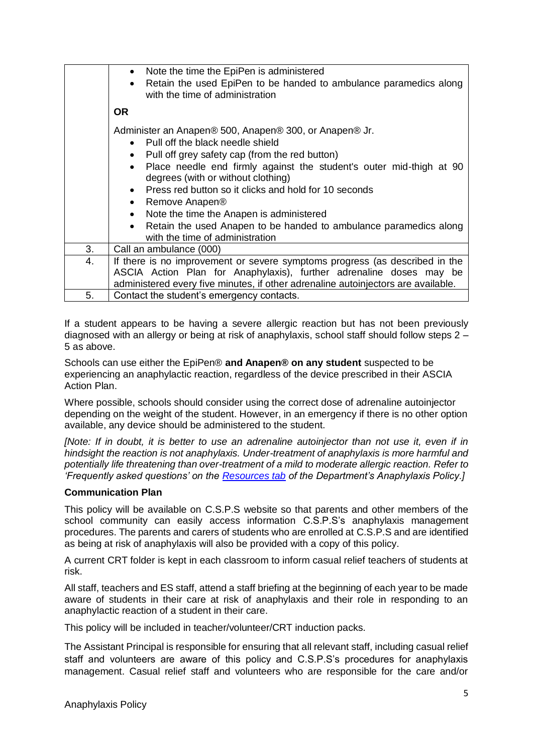|    | Note the time the EpiPen is administered<br>$\bullet$<br>Retain the used EpiPen to be handed to ambulance paramedics along<br>$\bullet$<br>with the time of administration                                                                                                                                                                                                                                                                                                                                                                                                                      |
|----|-------------------------------------------------------------------------------------------------------------------------------------------------------------------------------------------------------------------------------------------------------------------------------------------------------------------------------------------------------------------------------------------------------------------------------------------------------------------------------------------------------------------------------------------------------------------------------------------------|
|    | <b>OR</b>                                                                                                                                                                                                                                                                                                                                                                                                                                                                                                                                                                                       |
|    | Administer an Anapen® 500, Anapen® 300, or Anapen® Jr.<br>Pull off the black needle shield<br>$\bullet$<br>Pull off grey safety cap (from the red button)<br>$\bullet$<br>Place needle end firmly against the student's outer mid-thigh at 90<br>$\bullet$<br>degrees (with or without clothing)<br>Press red button so it clicks and hold for 10 seconds<br>$\bullet$<br>Remove Anapen <sup>®</sup><br>$\bullet$<br>Note the time the Anapen is administered<br>$\bullet$<br>Retain the used Anapen to be handed to ambulance paramedics along<br>$\bullet$<br>with the time of administration |
| 3. | Call an ambulance (000)                                                                                                                                                                                                                                                                                                                                                                                                                                                                                                                                                                         |
| 4. | If there is no improvement or severe symptoms progress (as described in the<br>ASCIA Action Plan for Anaphylaxis), further adrenaline doses may be<br>administered every five minutes, if other adrenaline autoinjectors are available.                                                                                                                                                                                                                                                                                                                                                         |
| 5. | Contact the student's emergency contacts.                                                                                                                                                                                                                                                                                                                                                                                                                                                                                                                                                       |

If a student appears to be having a severe allergic reaction but has not been previously diagnosed with an allergy or being at risk of anaphylaxis, school staff should follow steps 2 – 5 as above.

Schools can use either the EpiPen® **and Anapen® on any student** suspected to be experiencing an anaphylactic reaction, regardless of the device prescribed in their ASCIA Action Plan.

Where possible, schools should consider using the correct dose of adrenaline autoinjector depending on the weight of the student. However, in an emergency if there is no other option available, any device should be administered to the student.

*[Note: If in doubt, it is better to use an adrenaline autoinjector than not use it, even if in hindsight the reaction is not anaphylaxis. Under-treatment of anaphylaxis is more harmful and potentially life threatening than over-treatment of a mild to moderate allergic reaction. Refer to 'Frequently asked questions' on the [Resources tab](https://www2.education.vic.gov.au/pal/anaphylaxis/resources) of the Department's Anaphylaxis Policy.]*

#### **Communication Plan**

This policy will be available on C.S.P.S website so that parents and other members of the school community can easily access information C.S.P.S's anaphylaxis management procedures. The parents and carers of students who are enrolled at C.S.P.S and are identified as being at risk of anaphylaxis will also be provided with a copy of this policy.

A current CRT folder is kept in each classroom to inform casual relief teachers of students at risk.

All staff, teachers and ES staff, attend a staff briefing at the beginning of each year to be made aware of students in their care at risk of anaphylaxis and their role in responding to an anaphylactic reaction of a student in their care.

This policy will be included in teacher/volunteer/CRT induction packs.

The Assistant Principal is responsible for ensuring that all relevant staff, including casual relief staff and volunteers are aware of this policy and C.S.P.S's procedures for anaphylaxis management. Casual relief staff and volunteers who are responsible for the care and/or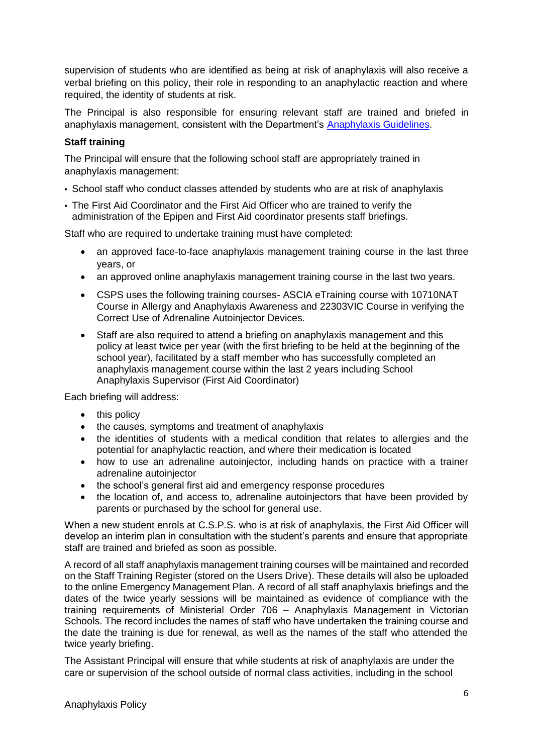supervision of students who are identified as being at risk of anaphylaxis will also receive a verbal briefing on this policy, their role in responding to an anaphylactic reaction and where required, the identity of students at risk.

The Principal is also responsible for ensuring relevant staff are trained and briefed in anaphylaxis management, consistent with the Department's [Anaphylaxis Guidelines.](https://www2.education.vic.gov.au/pal/anaphylaxis/guidance)

#### **Staff training**

The Principal will ensure that the following school staff are appropriately trained in anaphylaxis management:

- School staff who conduct classes attended by students who are at risk of anaphylaxis
- The First Aid Coordinator and the First Aid Officer who are trained to verify the administration of the Epipen and First Aid coordinator presents staff briefings.

Staff who are required to undertake training must have completed:

- an approved face-to-face anaphylaxis management training course in the last three years, or
- an approved online anaphylaxis management training course in the last two years.
- CSPS uses the following training courses- ASCIA eTraining course with 10710NAT Course in Allergy and Anaphylaxis Awareness and 22303VIC Course in verifying the Correct Use of Adrenaline Autoinjector Devices.
- Staff are also required to attend a briefing on anaphylaxis management and this policy at least twice per year (with the first briefing to be held at the beginning of the school year), facilitated by a staff member who has successfully completed an anaphylaxis management course within the last 2 years including School Anaphylaxis Supervisor (First Aid Coordinator)

Each briefing will address:

- this policy
- the causes, symptoms and treatment of anaphylaxis
- the identities of students with a medical condition that relates to allergies and the potential for anaphylactic reaction, and where their medication is located
- how to use an adrenaline autoinjector, including hands on practice with a trainer adrenaline autoinjector
- the school's general first aid and emergency response procedures
- the location of, and access to, adrenaline autoiniectors that have been provided by parents or purchased by the school for general use.

When a new student enrols at C.S.P.S. who is at risk of anaphylaxis, the First Aid Officer will develop an interim plan in consultation with the student's parents and ensure that appropriate staff are trained and briefed as soon as possible.

A record of all staff anaphylaxis management training courses will be maintained and recorded on the Staff Training Register (stored on the Users Drive). These details will also be uploaded to the online Emergency Management Plan. A record of all staff anaphylaxis briefings and the dates of the twice yearly sessions will be maintained as evidence of compliance with the training requirements of Ministerial Order 706 – Anaphylaxis Management in Victorian Schools. The record includes the names of staff who have undertaken the training course and the date the training is due for renewal, as well as the names of the staff who attended the twice yearly briefing.

The Assistant Principal will ensure that while students at risk of anaphylaxis are under the care or supervision of the school outside of normal class activities, including in the school